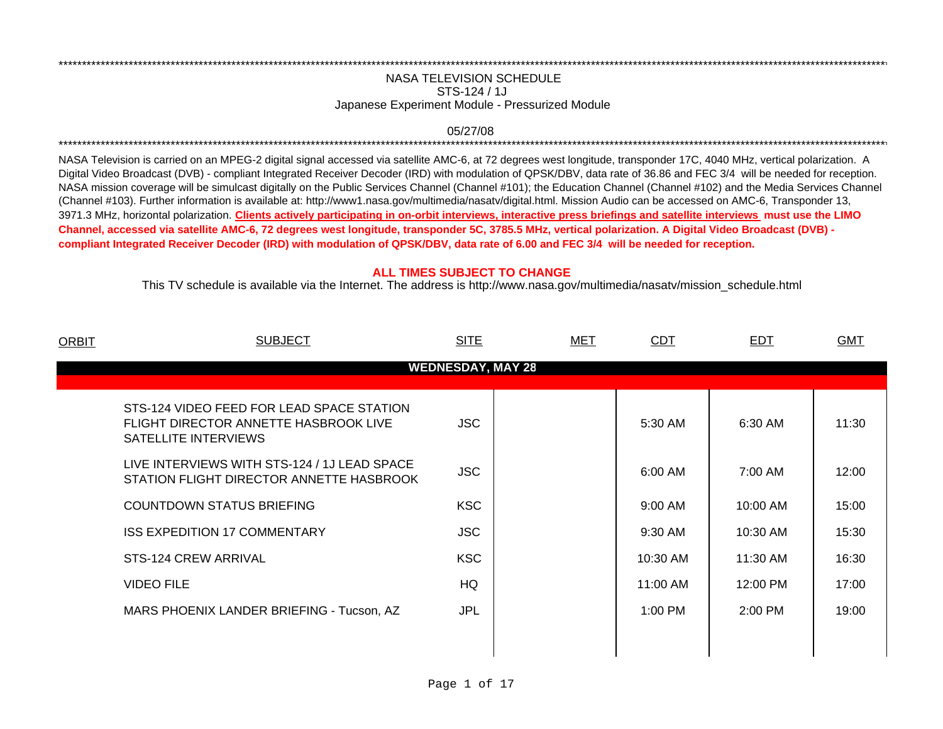## NASA TELEVISION SCHEDULESTS-124 / 1JJapanese Experiment Module - Pressurized Module

\*\*\*\*\*\*\*\*\*\*\*\*\*\*\*\*\*\*\*\*\*\*\*\*\*\*\*\*\*\*\*\*\*\*\*\*\*\*\*\*\*\*\*\*\*\*\*\*\*\*\*\*\*\*\*\*\*\*\*\*\*\*\*\*\*\*\*\*\*\*\*\*\*\*\*\*\*\*\*\*\*\*\*\*\*\*\*\*\*\*\*\*\*\*\*\*\*\*\*\*\*\*\*\*\*\*\*\*\*\*\*\*\*\*\*\*\*\*\*\*\*\*\*\*\*\*\*\*\*\*\*\*\*\*\*\*\*\*\*\*\*\*\*\*\*\*\*\*\*\*\*\*\*\*\*\*\*\*\*\*\*\*\*\*\*\*\*\*\*\*\*\*\*\*\*\*\*\*

## 05/27/08 \*\*\*\*\*\*\*\*\*\*\*\*\*\*\*\*\*\*\*\*\*\*\*\*\*\*\*\*\*\*\*\*\*\*\*\*\*\*\*\*\*\*\*\*\*\*\*\*\*\*\*\*\*\*\*\*\*\*\*\*\*\*\*\*\*\*\*\*\*\*\*\*\*\*\*\*\*\*\*\*\*\*\*\*\*\*\*\*\*\*\*\*\*\*\*\*\*\*\*\*\*\*\*\*\*\*\*\*\*\*\*\*\*\*\*\*\*\*\*\*\*\*\*\*\*\*\*\*\*\*\*\*\*\*\*\*\*\*\*\*\*\*\*\*\*\*\*\*\*\*\*\*\*\*\*\*\*\*\*\*\*\*\*\*\*\*\*\*\*\*\*\*\*\*\*\*\*\*

NASA Television is carried on an MPEG-2 digital signal accessed via satellite AMC-6, at 72 degrees west longitude, transponder 17C, 4040 MHz, vertical polarization. A Digital Video Broadcast (DVB) - compliant Integrated Receiver Decoder (IRD) with modulation of QPSK/DBV, data rate of 36.86 and FEC 3/4 will be needed for reception. NASA mission coverage will be simulcast digitally on the Public Services Channel (Channel #101); the Education Channel (Channel #102) and the Media Services Channel (Channel #103). Further information is available at: http://www1.nasa.gov/multimedia/nasatv/digital.html. Mission Audio can be accessed on AMC-6, Transponder 13, 3971.3 MHz, horizontal polarization. **Clients actively participating in on-orbit interviews, interactive press briefings and satellite interviews must use the LIMO Channel, accessed via satellite AMC-6, 72 degrees west longitude, transponder 5C, 3785.5 MHz, vertical polarization. A Digital Video Broadcast (DVB) compliant Integrated Receiver Decoder (IRD) with modulation of QPSK/DBV, data rate of 6.00 and FEC 3/4 will be needed for reception.**

## **ALL TIMES SUBJECT TO CHANGE**

This TV schedule is available via the Internet. The address is http://www.nasa.gov/multimedia/nasatv/mission\_schedule.html

| ORBIT | <b>SUBJECT</b>                                                                                             | <b>SITE</b>              | <b>MET</b> | <b>CDT</b> | <b>EDT</b> | <b>GMT</b> |
|-------|------------------------------------------------------------------------------------------------------------|--------------------------|------------|------------|------------|------------|
|       |                                                                                                            | <b>WEDNESDAY, MAY 28</b> |            |            |            |            |
|       | STS-124 VIDEO FEED FOR LEAD SPACE STATION<br>FLIGHT DIRECTOR ANNETTE HASBROOK LIVE<br>SATELLITE INTERVIEWS | <b>JSC</b>               |            | 5:30 AM    | 6:30 AM    | 11:30      |
|       | LIVE INTERVIEWS WITH STS-124 / 1J LEAD SPACE<br>STATION FLIGHT DIRECTOR ANNETTE HASBROOK                   | <b>JSC</b>               |            | 6:00 AM    | 7:00 AM    | 12:00      |
|       | COUNTDOWN STATUS BRIEFING                                                                                  | <b>KSC</b>               |            | 9:00 AM    | 10:00 AM   | 15:00      |
|       | <b>ISS EXPEDITION 17 COMMENTARY</b>                                                                        | <b>JSC</b>               |            | 9:30 AM    | 10:30 AM   | 15:30      |
|       | STS-124 CREW ARRIVAL                                                                                       | <b>KSC</b>               |            | 10:30 AM   | 11:30 AM   | 16:30      |
|       | <b>VIDEO FILE</b>                                                                                          | HQ                       |            | 11:00 AM   | 12:00 PM   | 17:00      |
|       | MARS PHOENIX LANDER BRIEFING - Tucson, AZ                                                                  | <b>JPL</b>               |            | $1:00$ PM  | $2:00$ PM  | 19:00      |
|       |                                                                                                            |                          |            |            |            |            |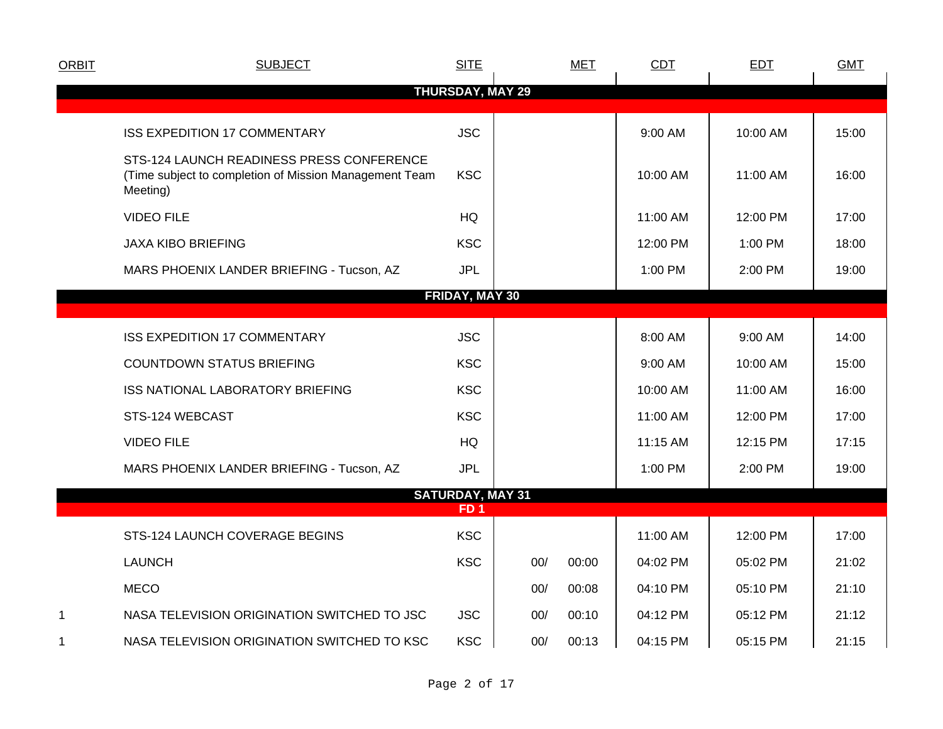| <b>ORBIT</b> | <b>SUBJECT</b>                                                                                                  | <b>SITE</b>                                |     | <b>MET</b> | <b>CDT</b> | <b>EDT</b> | <b>GMT</b> |
|--------------|-----------------------------------------------------------------------------------------------------------------|--------------------------------------------|-----|------------|------------|------------|------------|
|              |                                                                                                                 | <b>THURSDAY, MAY 29</b>                    |     |            |            |            |            |
|              | <b>ISS EXPEDITION 17 COMMENTARY</b>                                                                             | <b>JSC</b>                                 |     |            | 9:00 AM    | 10:00 AM   | 15:00      |
|              | STS-124 LAUNCH READINESS PRESS CONFERENCE<br>(Time subject to completion of Mission Management Team<br>Meeting) | <b>KSC</b>                                 |     |            | 10:00 AM   | 11:00 AM   | 16:00      |
|              | <b>VIDEO FILE</b>                                                                                               | HQ                                         |     |            | 11:00 AM   | 12:00 PM   | 17:00      |
|              | <b>JAXA KIBO BRIEFING</b>                                                                                       | <b>KSC</b>                                 |     |            | 12:00 PM   | 1:00 PM    | 18:00      |
|              | MARS PHOENIX LANDER BRIEFING - Tucson, AZ                                                                       | <b>JPL</b>                                 |     |            | 1:00 PM    | 2:00 PM    | 19:00      |
|              |                                                                                                                 | <b>FRIDAY, MAY 30</b>                      |     |            |            |            |            |
|              | <b>ISS EXPEDITION 17 COMMENTARY</b>                                                                             | <b>JSC</b>                                 |     |            | 8:00 AM    | 9:00 AM    | 14:00      |
|              | <b>COUNTDOWN STATUS BRIEFING</b>                                                                                | <b>KSC</b>                                 |     |            | 9:00 AM    | 10:00 AM   | 15:00      |
|              | ISS NATIONAL LABORATORY BRIEFING                                                                                | <b>KSC</b>                                 |     |            | 10:00 AM   | 11:00 AM   | 16:00      |
|              | STS-124 WEBCAST                                                                                                 | <b>KSC</b>                                 |     |            | 11:00 AM   | 12:00 PM   | 17:00      |
|              | <b>VIDEO FILE</b>                                                                                               | HQ                                         |     |            | 11:15 AM   | 12:15 PM   | 17:15      |
|              | MARS PHOENIX LANDER BRIEFING - Tucson, AZ                                                                       | <b>JPL</b>                                 |     |            | 1:00 PM    | 2:00 PM    | 19:00      |
|              |                                                                                                                 | <b>SATURDAY, MAY 31</b><br>FD <sub>1</sub> |     |            |            |            |            |
|              |                                                                                                                 |                                            |     |            |            |            |            |
|              | STS-124 LAUNCH COVERAGE BEGINS                                                                                  | <b>KSC</b>                                 |     |            | 11:00 AM   | 12:00 PM   | 17:00      |
|              | <b>LAUNCH</b>                                                                                                   | <b>KSC</b>                                 | 00/ | 00:00      | 04:02 PM   | 05:02 PM   | 21:02      |
|              | <b>MECO</b>                                                                                                     |                                            | 00/ | 00:08      | 04:10 PM   | 05:10 PM   | 21:10      |
| $\mathbf 1$  | NASA TELEVISION ORIGINATION SWITCHED TO JSC                                                                     | <b>JSC</b>                                 | 00/ | 00:10      | 04:12 PM   | 05:12 PM   | 21:12      |
| 1            | NASA TELEVISION ORIGINATION SWITCHED TO KSC                                                                     | <b>KSC</b>                                 | 00/ | 00:13      | 04:15 PM   | 05:15 PM   | 21:15      |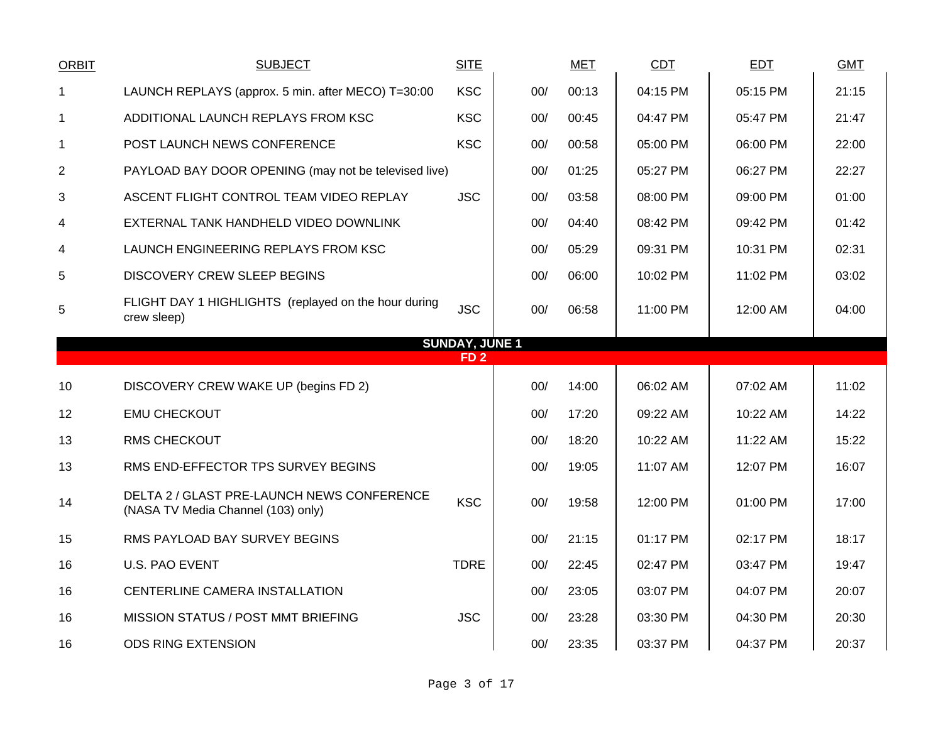| <b>ORBIT</b>   | <b>SUBJECT</b>                                                                   | <b>SITE</b>                              |     | <b>MET</b> | CDT      | <b>EDT</b> | <b>GMT</b> |
|----------------|----------------------------------------------------------------------------------|------------------------------------------|-----|------------|----------|------------|------------|
| 1              | LAUNCH REPLAYS (approx. 5 min. after MECO) T=30:00                               | <b>KSC</b>                               | 00/ | 00:13      | 04:15 PM | 05:15 PM   | 21:15      |
| $\mathbf 1$    | ADDITIONAL LAUNCH REPLAYS FROM KSC                                               | <b>KSC</b>                               | 00/ | 00:45      | 04:47 PM | 05:47 PM   | 21:47      |
| $\mathbf{1}$   | POST LAUNCH NEWS CONFERENCE                                                      | <b>KSC</b>                               | 00/ | 00:58      | 05:00 PM | 06:00 PM   | 22:00      |
| $\overline{2}$ | PAYLOAD BAY DOOR OPENING (may not be televised live)                             |                                          | 00/ | 01:25      | 05:27 PM | 06:27 PM   | 22:27      |
| 3              | ASCENT FLIGHT CONTROL TEAM VIDEO REPLAY                                          | <b>JSC</b>                               | 00/ | 03:58      | 08:00 PM | 09:00 PM   | 01:00      |
| 4              | EXTERNAL TANK HANDHELD VIDEO DOWNLINK                                            |                                          | 00/ | 04:40      | 08:42 PM | 09:42 PM   | 01:42      |
| 4              | LAUNCH ENGINEERING REPLAYS FROM KSC                                              |                                          | 00/ | 05:29      | 09:31 PM | 10:31 PM   | 02:31      |
| 5              | <b>DISCOVERY CREW SLEEP BEGINS</b>                                               |                                          | 00/ | 06:00      | 10:02 PM | 11:02 PM   | 03:02      |
| 5              | FLIGHT DAY 1 HIGHLIGHTS (replayed on the hour during<br>crew sleep)              | <b>JSC</b>                               | 00/ | 06:58      | 11:00 PM | 12:00 AM   | 04:00      |
|                |                                                                                  | <b>SUNDAY, JUNE 1</b><br>FD <sub>2</sub> |     |            |          |            |            |
|                |                                                                                  |                                          |     |            |          |            |            |
| 10             | DISCOVERY CREW WAKE UP (begins FD 2)                                             |                                          | 00/ | 14:00      | 06:02 AM | 07:02 AM   | 11:02      |
| 12             | <b>EMU CHECKOUT</b>                                                              |                                          | 00/ | 17:20      | 09:22 AM | 10:22 AM   | 14:22      |
| 13             | <b>RMS CHECKOUT</b>                                                              |                                          | 00/ | 18:20      | 10:22 AM | 11:22 AM   | 15:22      |
| 13             | RMS END-EFFECTOR TPS SURVEY BEGINS                                               |                                          | 00/ | 19:05      | 11:07 AM | 12:07 PM   | 16:07      |
| 14             | DELTA 2 / GLAST PRE-LAUNCH NEWS CONFERENCE<br>(NASA TV Media Channel (103) only) | <b>KSC</b>                               | 00/ | 19:58      | 12:00 PM | 01:00 PM   | 17:00      |
| 15             | RMS PAYLOAD BAY SURVEY BEGINS                                                    |                                          | 00/ | 21:15      | 01:17 PM | 02:17 PM   | 18:17      |
| 16             | <b>U.S. PAO EVENT</b>                                                            | <b>TDRE</b>                              | 00/ | 22:45      | 02:47 PM | 03:47 PM   | 19:47      |
| 16             | CENTERLINE CAMERA INSTALLATION                                                   |                                          | 00/ | 23:05      | 03:07 PM | 04:07 PM   | 20:07      |
| 16             | MISSION STATUS / POST MMT BRIEFING                                               | <b>JSC</b>                               | 00/ | 23:28      | 03:30 PM | 04:30 PM   | 20:30      |
|                |                                                                                  |                                          |     |            |          |            |            |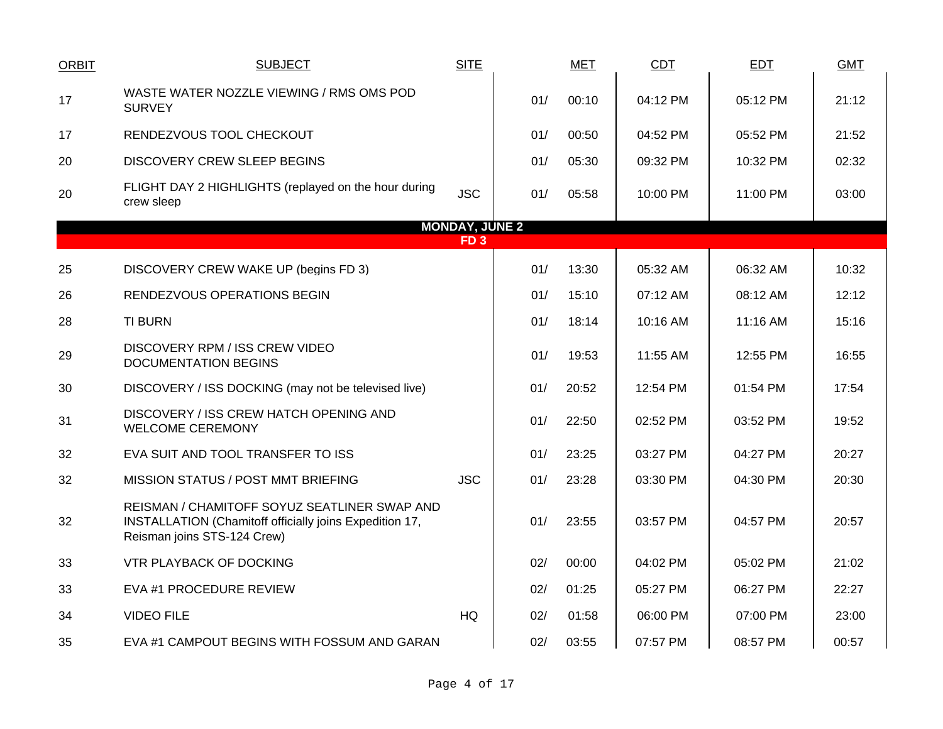| <b>ORBIT</b> | <b>SUBJECT</b>                                                                                                                         | <b>SITE</b>           |     | <b>MET</b> | <b>CDT</b> | <b>EDT</b> | <b>GMT</b> |
|--------------|----------------------------------------------------------------------------------------------------------------------------------------|-----------------------|-----|------------|------------|------------|------------|
| 17           | WASTE WATER NOZZLE VIEWING / RMS OMS POD<br><b>SURVEY</b>                                                                              |                       | 01/ | 00:10      | 04:12 PM   | 05:12 PM   | 21:12      |
| 17           | RENDEZVOUS TOOL CHECKOUT                                                                                                               |                       | 01/ | 00:50      | 04:52 PM   | 05:52 PM   | 21:52      |
| 20           | <b>DISCOVERY CREW SLEEP BEGINS</b>                                                                                                     |                       | 01/ | 05:30      | 09:32 PM   | 10:32 PM   | 02:32      |
| 20           | FLIGHT DAY 2 HIGHLIGHTS (replayed on the hour during<br>crew sleep                                                                     | <b>JSC</b>            | 01/ | 05:58      | 10:00 PM   | 11:00 PM   | 03:00      |
|              |                                                                                                                                        | <b>MONDAY, JUNE 2</b> |     |            |            |            |            |
|              |                                                                                                                                        | FD <sub>3</sub>       |     |            |            |            |            |
| 25           | DISCOVERY CREW WAKE UP (begins FD 3)                                                                                                   |                       | 01/ | 13:30      | 05:32 AM   | 06:32 AM   | 10:32      |
| 26           | <b>RENDEZVOUS OPERATIONS BEGIN</b>                                                                                                     |                       | 01/ | 15:10      | 07:12 AM   | 08:12 AM   | 12:12      |
| 28           | <b>TI BURN</b>                                                                                                                         |                       | 01/ | 18:14      | 10:16 AM   | 11:16 AM   | 15:16      |
| 29           | <b>DISCOVERY RPM / ISS CREW VIDEO</b><br><b>DOCUMENTATION BEGINS</b>                                                                   |                       | 01/ | 19:53      | 11:55 AM   | 12:55 PM   | 16:55      |
| 30           | DISCOVERY / ISS DOCKING (may not be televised live)                                                                                    |                       | 01/ | 20:52      | 12:54 PM   | 01:54 PM   | 17:54      |
| 31           | DISCOVERY / ISS CREW HATCH OPENING AND<br><b>WELCOME CEREMONY</b>                                                                      |                       | 01/ | 22:50      | 02:52 PM   | 03:52 PM   | 19:52      |
| 32           | EVA SUIT AND TOOL TRANSFER TO ISS                                                                                                      |                       | 01/ | 23:25      | 03:27 PM   | 04:27 PM   | 20:27      |
| 32           | MISSION STATUS / POST MMT BRIEFING                                                                                                     | <b>JSC</b>            | 01/ | 23:28      | 03:30 PM   | 04:30 PM   | 20:30      |
| 32           | REISMAN / CHAMITOFF SOYUZ SEATLINER SWAP AND<br>INSTALLATION (Chamitoff officially joins Expedition 17,<br>Reisman joins STS-124 Crew) |                       | 01/ | 23:55      | 03:57 PM   | 04:57 PM   | 20:57      |
| 33           | <b>VTR PLAYBACK OF DOCKING</b>                                                                                                         |                       | 02/ | 00:00      | 04:02 PM   | 05:02 PM   | 21:02      |
| 33           | EVA #1 PROCEDURE REVIEW                                                                                                                |                       | 02/ | 01:25      | 05:27 PM   | 06:27 PM   | 22:27      |
| 34           | <b>VIDEO FILE</b>                                                                                                                      | HQ                    | 02/ | 01:58      | 06:00 PM   | 07:00 PM   | 23:00      |
| 35           | EVA #1 CAMPOUT BEGINS WITH FOSSUM AND GARAN                                                                                            |                       | 02/ | 03:55      | 07:57 PM   | 08:57 PM   | 00:57      |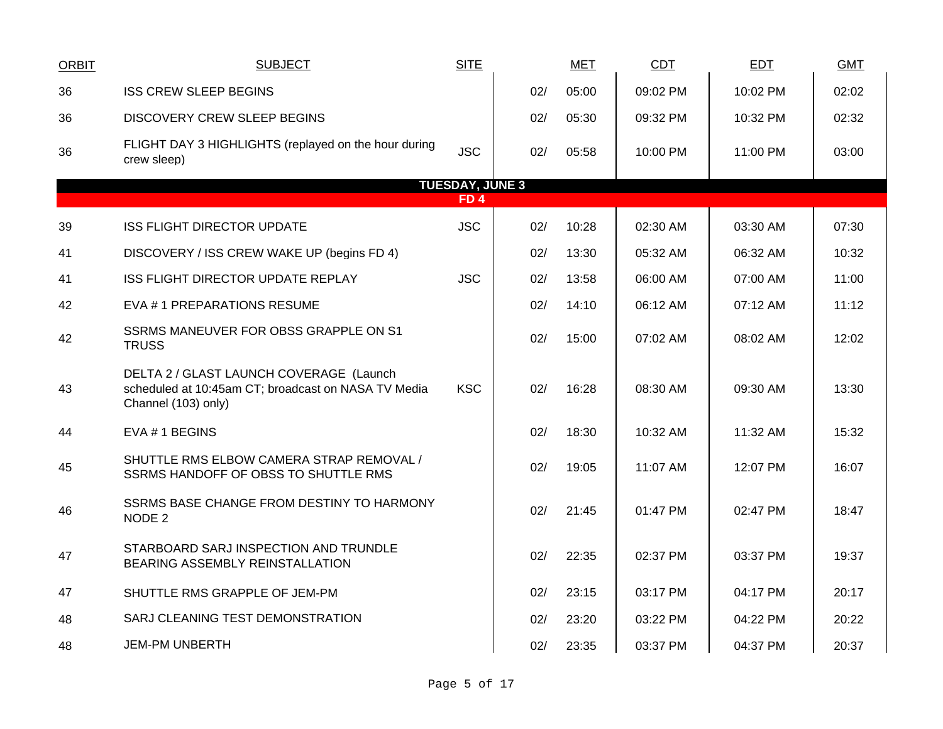| <b>ORBIT</b> | <b>SUBJECT</b>                                                                                                        | <b>SITE</b>                          |     | <b>MET</b> | <b>CDT</b> | <b>EDT</b> | <b>GMT</b> |
|--------------|-----------------------------------------------------------------------------------------------------------------------|--------------------------------------|-----|------------|------------|------------|------------|
| 36           | <b>ISS CREW SLEEP BEGINS</b>                                                                                          |                                      | 02/ | 05:00      | 09:02 PM   | 10:02 PM   | 02:02      |
| 36           | <b>DISCOVERY CREW SLEEP BEGINS</b>                                                                                    |                                      | 02/ | 05:30      | 09:32 PM   | 10:32 PM   | 02:32      |
| 36           | FLIGHT DAY 3 HIGHLIGHTS (replayed on the hour during<br>crew sleep)                                                   | <b>JSC</b>                           | 02/ | 05:58      | 10:00 PM   | 11:00 PM   | 03:00      |
|              |                                                                                                                       | <b>TUESDAY, JUNE 3</b><br><b>FD4</b> |     |            |            |            |            |
| 39           | <b>ISS FLIGHT DIRECTOR UPDATE</b>                                                                                     | <b>JSC</b>                           | 02/ | 10:28      | 02:30 AM   | 03:30 AM   | 07:30      |
| 41           | DISCOVERY / ISS CREW WAKE UP (begins FD 4)                                                                            |                                      | 02/ | 13:30      | 05:32 AM   | 06:32 AM   | 10:32      |
| 41           | ISS FLIGHT DIRECTOR UPDATE REPLAY                                                                                     | <b>JSC</b>                           | 02/ | 13:58      | 06:00 AM   | 07:00 AM   | 11:00      |
| 42           | EVA #1 PREPARATIONS RESUME                                                                                            |                                      | 02/ | 14:10      | 06:12 AM   | 07:12 AM   | 11:12      |
| 42           | SSRMS MANEUVER FOR OBSS GRAPPLE ON S1<br><b>TRUSS</b>                                                                 |                                      | 02/ | 15:00      | 07:02 AM   | 08:02 AM   | 12:02      |
| 43           | DELTA 2 / GLAST LAUNCH COVERAGE (Launch<br>scheduled at 10:45am CT; broadcast on NASA TV Media<br>Channel (103) only) | <b>KSC</b>                           | 02/ | 16:28      | 08:30 AM   | 09:30 AM   | 13:30      |
| 44           | EVA #1 BEGINS                                                                                                         |                                      | 02/ | 18:30      | 10:32 AM   | 11:32 AM   | 15:32      |
| 45           | SHUTTLE RMS ELBOW CAMERA STRAP REMOVAL /<br>SSRMS HANDOFF OF OBSS TO SHUTTLE RMS                                      |                                      | 02/ | 19:05      | 11:07 AM   | 12:07 PM   | 16:07      |
| 46           | SSRMS BASE CHANGE FROM DESTINY TO HARMONY<br>NODE 2                                                                   |                                      | 02/ | 21:45      | 01:47 PM   | 02:47 PM   | 18:47      |
| 47           | STARBOARD SARJ INSPECTION AND TRUNDLE<br>BEARING ASSEMBLY REINSTALLATION                                              |                                      | 02/ | 22:35      | 02:37 PM   | 03:37 PM   | 19:37      |
| 47           | SHUTTLE RMS GRAPPLE OF JEM-PM                                                                                         |                                      | 02/ | 23:15      | 03:17 PM   | 04:17 PM   | 20:17      |
| 48           | SARJ CLEANING TEST DEMONSTRATION                                                                                      |                                      | 02/ | 23:20      | 03:22 PM   | 04:22 PM   | 20:22      |
| 48           | <b>JEM-PM UNBERTH</b>                                                                                                 |                                      | 02/ | 23:35      | 03:37 PM   | 04:37 PM   | 20:37      |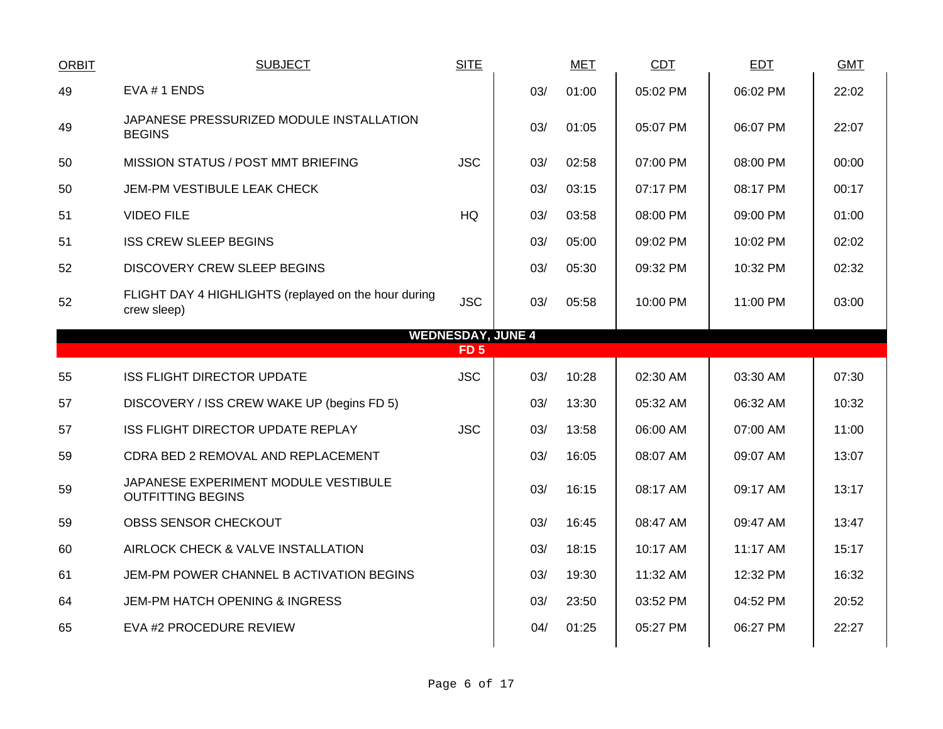| <b>ORBIT</b> | <b>SUBJECT</b>                                                      | <b>SITE</b>     |                          | <b>MET</b> | <b>CDT</b> | <b>EDT</b> | <b>GMT</b> |
|--------------|---------------------------------------------------------------------|-----------------|--------------------------|------------|------------|------------|------------|
| 49           | EVA # 1 ENDS                                                        |                 | 03/                      | 01:00      | 05:02 PM   | 06:02 PM   | 22:02      |
| 49           | JAPANESE PRESSURIZED MODULE INSTALLATION<br><b>BEGINS</b>           |                 | 03/                      | 01:05      | 05:07 PM   | 06:07 PM   | 22:07      |
| 50           | MISSION STATUS / POST MMT BRIEFING                                  | <b>JSC</b>      | 03/                      | 02:58      | 07:00 PM   | 08:00 PM   | 00:00      |
| 50           | JEM-PM VESTIBULE LEAK CHECK                                         |                 | 03/                      | 03:15      | 07:17 PM   | 08:17 PM   | 00:17      |
| 51           | <b>VIDEO FILE</b>                                                   | HQ              | 03/                      | 03:58      | 08:00 PM   | 09:00 PM   | 01:00      |
| 51           | <b>ISS CREW SLEEP BEGINS</b>                                        |                 | 03/                      | 05:00      | 09:02 PM   | 10:02 PM   | 02:02      |
| 52           | <b>DISCOVERY CREW SLEEP BEGINS</b>                                  |                 | 03/                      | 05:30      | 09:32 PM   | 10:32 PM   | 02:32      |
| 52           | FLIGHT DAY 4 HIGHLIGHTS (replayed on the hour during<br>crew sleep) | <b>JSC</b>      | 03/                      | 05:58      | 10:00 PM   | 11:00 PM   | 03:00      |
|              |                                                                     |                 | <b>WEDNESDAY, JUNE 4</b> |            |            |            |            |
|              |                                                                     | FD <sub>5</sub> |                          |            |            |            |            |
| 55           | <b>ISS FLIGHT DIRECTOR UPDATE</b>                                   | <b>JSC</b>      | 03/                      | 10:28      | 02:30 AM   | 03:30 AM   | 07:30      |
| 57           | DISCOVERY / ISS CREW WAKE UP (begins FD 5)                          |                 | 03/                      | 13:30      | 05:32 AM   | 06:32 AM   | 10:32      |
| 57           | ISS FLIGHT DIRECTOR UPDATE REPLAY                                   | <b>JSC</b>      | 03/                      | 13:58      | 06:00 AM   | 07:00 AM   | 11:00      |
| 59           | CDRA BED 2 REMOVAL AND REPLACEMENT                                  |                 | 03/                      | 16:05      | 08:07 AM   | 09:07 AM   | 13:07      |
| 59           | JAPANESE EXPERIMENT MODULE VESTIBULE<br><b>OUTFITTING BEGINS</b>    |                 | 03/                      | 16:15      | 08:17 AM   | 09:17 AM   | 13:17      |
| 59           | OBSS SENSOR CHECKOUT                                                |                 | 03/                      | 16:45      | 08:47 AM   | 09:47 AM   | 13:47      |
| 60           | AIRLOCK CHECK & VALVE INSTALLATION                                  |                 | 03/                      | 18:15      | 10:17 AM   | 11:17 AM   | 15:17      |
| 61           | JEM-PM POWER CHANNEL B ACTIVATION BEGINS                            |                 | 03/                      | 19:30      | 11:32 AM   | 12:32 PM   | 16:32      |
| 64           | JEM-PM HATCH OPENING & INGRESS                                      |                 | 03/                      | 23:50      | 03:52 PM   | 04:52 PM   | 20:52      |
| 65           | EVA #2 PROCEDURE REVIEW                                             |                 | 04/                      | 01:25      | 05:27 PM   | 06:27 PM   | 22:27      |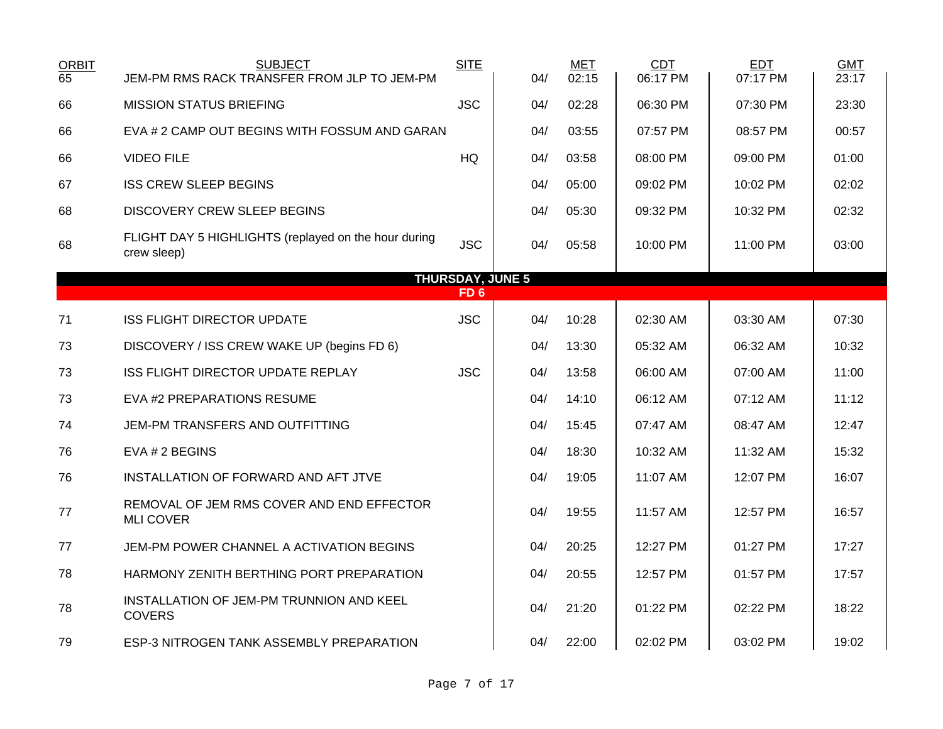| <b>ORBIT</b><br>65 | <b>SUBJECT</b><br>JEM-PM RMS RACK TRANSFER FROM JLP TO JEM-PM       | <b>SITE</b>             | 04/ | <b>MET</b><br>02:15 | CDT<br>06:17 PM | <b>EDT</b><br>07:17 PM | <b>GMT</b><br>23:17 |
|--------------------|---------------------------------------------------------------------|-------------------------|-----|---------------------|-----------------|------------------------|---------------------|
| 66                 | <b>MISSION STATUS BRIEFING</b>                                      | <b>JSC</b>              | 04/ | 02:28               | 06:30 PM        | 07:30 PM               | 23:30               |
| 66                 | EVA # 2 CAMP OUT BEGINS WITH FOSSUM AND GARAN                       |                         | 04/ | 03:55               | 07:57 PM        | 08:57 PM               | 00:57               |
| 66                 | <b>VIDEO FILE</b>                                                   | HQ                      | 04/ | 03:58               | 08:00 PM        | 09:00 PM               | 01:00               |
| 67                 | <b>ISS CREW SLEEP BEGINS</b>                                        |                         | 04/ | 05:00               | 09:02 PM        | 10:02 PM               | 02:02               |
| 68                 | <b>DISCOVERY CREW SLEEP BEGINS</b>                                  |                         | 04/ | 05:30               | 09:32 PM        | 10:32 PM               | 02:32               |
| 68                 | FLIGHT DAY 5 HIGHLIGHTS (replayed on the hour during<br>crew sleep) | <b>JSC</b>              | 04/ | 05:58               | 10:00 PM        | 11:00 PM               | 03:00               |
|                    |                                                                     | <b>THURSDAY, JUNE 5</b> |     |                     |                 |                        |                     |
|                    |                                                                     | FD <sub>6</sub>         |     |                     |                 |                        |                     |
| 71                 | <b>ISS FLIGHT DIRECTOR UPDATE</b>                                   | <b>JSC</b>              | 04/ | 10:28               | 02:30 AM        | 03:30 AM               | 07:30               |
| 73                 | DISCOVERY / ISS CREW WAKE UP (begins FD 6)                          |                         | 04/ | 13:30               | 05:32 AM        | 06:32 AM               | 10:32               |
| 73                 | ISS FLIGHT DIRECTOR UPDATE REPLAY                                   | <b>JSC</b>              | 04/ | 13:58               | 06:00 AM        | 07:00 AM               | 11:00               |
| 73                 | EVA #2 PREPARATIONS RESUME                                          |                         | 04/ | 14:10               | 06:12 AM        | 07:12 AM               | 11:12               |
| 74                 | JEM-PM TRANSFERS AND OUTFITTING                                     |                         | 04/ | 15:45               | 07:47 AM        | 08:47 AM               | 12:47               |
| 76                 | EVA # 2 BEGINS                                                      |                         | 04/ | 18:30               | 10:32 AM        | 11:32 AM               | 15:32               |
| 76                 | INSTALLATION OF FORWARD AND AFT JTVE                                |                         | 04/ | 19:05               | 11:07 AM        | 12:07 PM               | 16:07               |
| 77                 | REMOVAL OF JEM RMS COVER AND END EFFECTOR<br><b>MLI COVER</b>       |                         | 04/ | 19:55               | 11:57 AM        | 12:57 PM               | 16:57               |
| 77                 | JEM-PM POWER CHANNEL A ACTIVATION BEGINS                            |                         | 04/ | 20:25               | 12:27 PM        | 01:27 PM               | 17:27               |
| 78                 | HARMONY ZENITH BERTHING PORT PREPARATION                            |                         | 04/ | 20:55               | 12:57 PM        | 01:57 PM               | 17:57               |
| 78                 | INSTALLATION OF JEM-PM TRUNNION AND KEEL<br><b>COVERS</b>           |                         | 04/ | 21:20               | 01:22 PM        | 02:22 PM               | 18:22               |
| 79                 | ESP-3 NITROGEN TANK ASSEMBLY PREPARATION                            |                         | 04/ | 22:00               | 02:02 PM        | 03:02 PM               | 19:02               |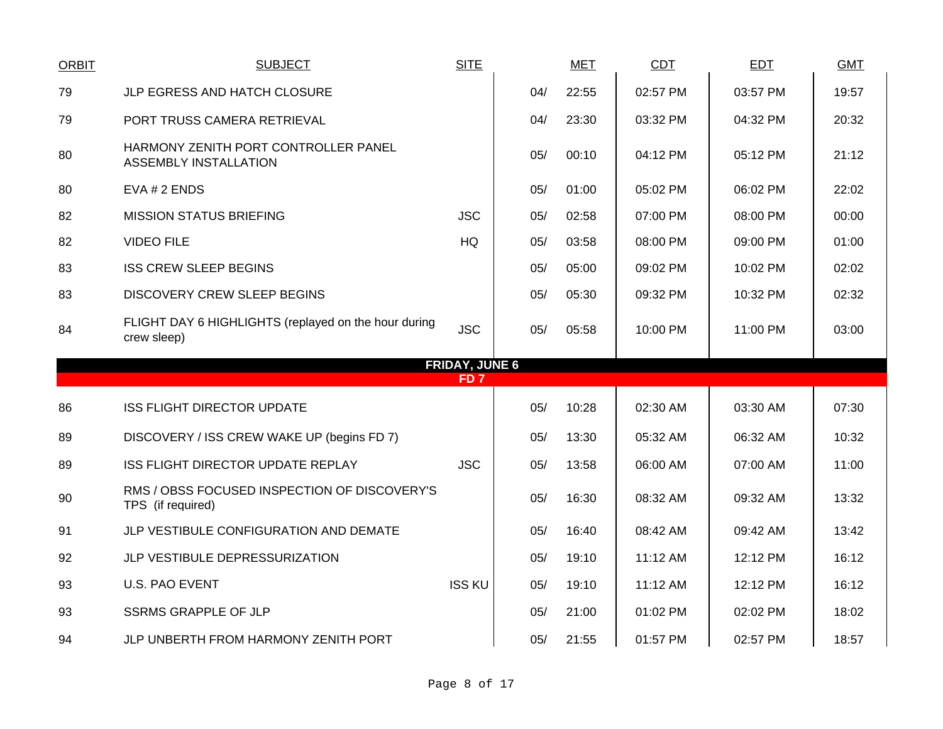| <b>ORBIT</b> | <b>SUBJECT</b>                                                       | <b>SITE</b>           |     | <b>MET</b> | <b>CDT</b> | EDT      | <b>GMT</b> |
|--------------|----------------------------------------------------------------------|-----------------------|-----|------------|------------|----------|------------|
| 79           | JLP EGRESS AND HATCH CLOSURE                                         |                       | 04/ | 22:55      | 02:57 PM   | 03:57 PM | 19:57      |
| 79           | PORT TRUSS CAMERA RETRIEVAL                                          |                       | 04/ | 23:30      | 03:32 PM   | 04:32 PM | 20:32      |
| 80           | HARMONY ZENITH PORT CONTROLLER PANEL<br><b>ASSEMBLY INSTALLATION</b> |                       | 05/ | 00:10      | 04:12 PM   | 05:12 PM | 21:12      |
| 80           | EVA # 2 ENDS                                                         |                       | 05/ | 01:00      | 05:02 PM   | 06:02 PM | 22:02      |
| 82           | <b>MISSION STATUS BRIEFING</b>                                       | <b>JSC</b>            | 05/ | 02:58      | 07:00 PM   | 08:00 PM | 00:00      |
| 82           | <b>VIDEO FILE</b>                                                    | <b>HQ</b>             | 05/ | 03:58      | 08:00 PM   | 09:00 PM | 01:00      |
| 83           | <b>ISS CREW SLEEP BEGINS</b>                                         |                       | 05/ | 05:00      | 09:02 PM   | 10:02 PM | 02:02      |
| 83           | <b>DISCOVERY CREW SLEEP BEGINS</b>                                   |                       | 05/ | 05:30      | 09:32 PM   | 10:32 PM | 02:32      |
| 84           | FLIGHT DAY 6 HIGHLIGHTS (replayed on the hour during<br>crew sleep)  | <b>JSC</b>            | 05/ | 05:58      | 10:00 PM   | 11:00 PM | 03:00      |
|              |                                                                      | <b>FRIDAY, JUNE 6</b> |     |            |            |          |            |
|              |                                                                      | FD <sub>7</sub>       |     |            |            |          |            |
| 86           | <b>ISS FLIGHT DIRECTOR UPDATE</b>                                    |                       | 05/ | 10:28      | 02:30 AM   | 03:30 AM | 07:30      |
| 89           | DISCOVERY / ISS CREW WAKE UP (begins FD 7)                           |                       | 05/ | 13:30      | 05:32 AM   | 06:32 AM | 10:32      |
| 89           | ISS FLIGHT DIRECTOR UPDATE REPLAY                                    | <b>JSC</b>            | 05/ | 13:58      | 06:00 AM   | 07:00 AM | 11:00      |
| 90           | RMS / OBSS FOCUSED INSPECTION OF DISCOVERY'S<br>TPS (if required)    |                       | 05/ | 16:30      | 08:32 AM   | 09:32 AM | 13:32      |
| 91           | JLP VESTIBULE CONFIGURATION AND DEMATE                               |                       | 05/ | 16:40      | 08:42 AM   | 09:42 AM | 13:42      |
| 92           | JLP VESTIBULE DEPRESSURIZATION                                       |                       | 05/ | 19:10      | 11:12 AM   | 12:12 PM | 16:12      |
| 93           | <b>U.S. PAO EVENT</b>                                                | <b>ISS KU</b>         | 05/ | 19:10      | 11:12 AM   | 12:12 PM | 16:12      |
| 93           | <b>SSRMS GRAPPLE OF JLP</b>                                          |                       | 05/ | 21:00      | 01:02 PM   | 02:02 PM | 18:02      |
| 94           | JLP UNBERTH FROM HARMONY ZENITH PORT                                 |                       | 05/ | 21:55      | 01:57 PM   | 02:57 PM | 18:57      |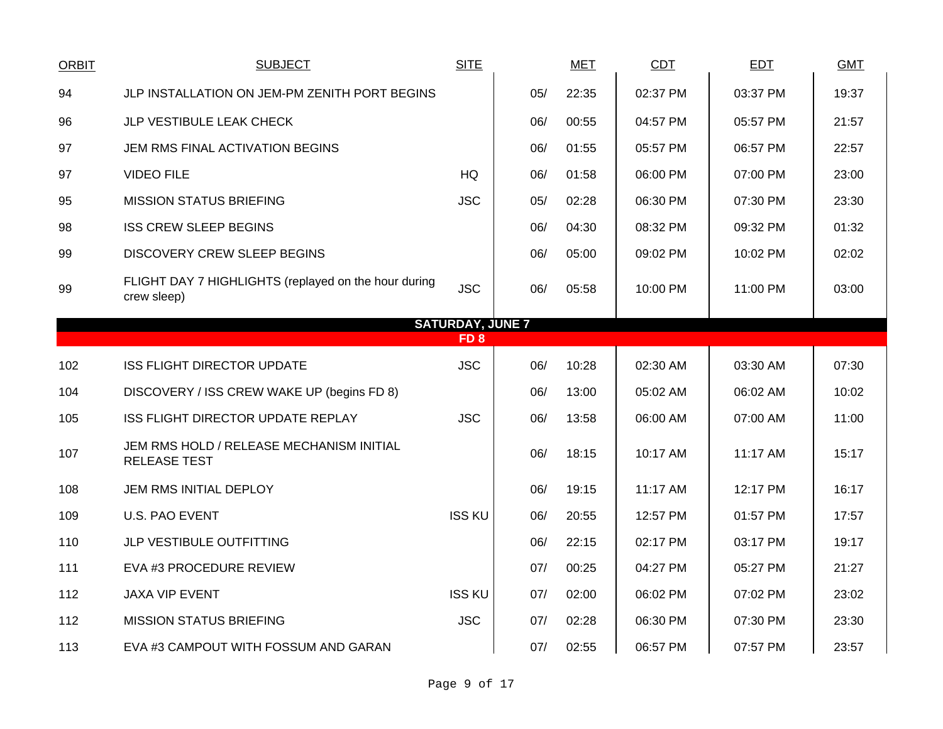| <b>ORBIT</b> | <b>SUBJECT</b>                                                      | <b>SITE</b>             |     | <b>MET</b> | <b>CDT</b> | <b>EDT</b> | <b>GMT</b> |
|--------------|---------------------------------------------------------------------|-------------------------|-----|------------|------------|------------|------------|
| 94           | JLP INSTALLATION ON JEM-PM ZENITH PORT BEGINS                       |                         | 05/ | 22:35      | 02:37 PM   | 03:37 PM   | 19:37      |
| 96           | JLP VESTIBULE LEAK CHECK                                            |                         | 06/ | 00:55      | 04:57 PM   | 05:57 PM   | 21:57      |
| 97           | JEM RMS FINAL ACTIVATION BEGINS                                     |                         | 06/ | 01:55      | 05:57 PM   | 06:57 PM   | 22:57      |
| 97           | <b>VIDEO FILE</b>                                                   | <b>HQ</b>               | 06/ | 01:58      | 06:00 PM   | 07:00 PM   | 23:00      |
| 95           | <b>MISSION STATUS BRIEFING</b>                                      | <b>JSC</b>              | 05/ | 02:28      | 06:30 PM   | 07:30 PM   | 23:30      |
| 98           | <b>ISS CREW SLEEP BEGINS</b>                                        |                         | 06/ | 04:30      | 08:32 PM   | 09:32 PM   | 01:32      |
| 99           | <b>DISCOVERY CREW SLEEP BEGINS</b>                                  |                         | 06/ | 05:00      | 09:02 PM   | 10:02 PM   | 02:02      |
| 99           | FLIGHT DAY 7 HIGHLIGHTS (replayed on the hour during<br>crew sleep) | <b>JSC</b>              | 06/ | 05:58      | 10:00 PM   | 11:00 PM   | 03:00      |
|              |                                                                     | <b>SATURDAY, JUNE 7</b> |     |            |            |            |            |
|              |                                                                     | FD <sub>8</sub>         |     |            |            |            |            |
| 102          | <b>ISS FLIGHT DIRECTOR UPDATE</b>                                   | <b>JSC</b>              | 06/ | 10:28      | 02:30 AM   | 03:30 AM   | 07:30      |
| 104          | DISCOVERY / ISS CREW WAKE UP (begins FD 8)                          |                         | 06/ | 13:00      | 05:02 AM   | 06:02 AM   | 10:02      |
| 105          | ISS FLIGHT DIRECTOR UPDATE REPLAY                                   | <b>JSC</b>              | 06/ | 13:58      | 06:00 AM   | 07:00 AM   | 11:00      |
| 107          | JEM RMS HOLD / RELEASE MECHANISM INITIAL<br><b>RELEASE TEST</b>     |                         | 06/ | 18:15      | 10:17 AM   | 11:17 AM   | 15:17      |
| 108          | JEM RMS INITIAL DEPLOY                                              |                         | 06/ | 19:15      | 11:17 AM   | 12:17 PM   | 16:17      |
| 109          | <b>U.S. PAO EVENT</b>                                               | <b>ISS KU</b>           | 06/ | 20:55      | 12:57 PM   | 01:57 PM   | 17:57      |
| 110          | JLP VESTIBULE OUTFITTING                                            |                         | 06/ | 22:15      | 02:17 PM   | 03:17 PM   | 19:17      |
| 111          | EVA #3 PROCEDURE REVIEW                                             |                         | 07/ | 00:25      | 04:27 PM   | 05:27 PM   | 21:27      |
| 112          | JAXA VIP EVENT                                                      | <b>ISS KU</b>           | 07/ | 02:00      | 06:02 PM   | 07:02 PM   | 23:02      |
| 112          | <b>MISSION STATUS BRIEFING</b>                                      | <b>JSC</b>              | 07/ | 02:28      | 06:30 PM   | 07:30 PM   | 23:30      |
| 113          | EVA #3 CAMPOUT WITH FOSSUM AND GARAN                                |                         | 07/ | 02:55      | 06:57 PM   | 07:57 PM   | 23:57      |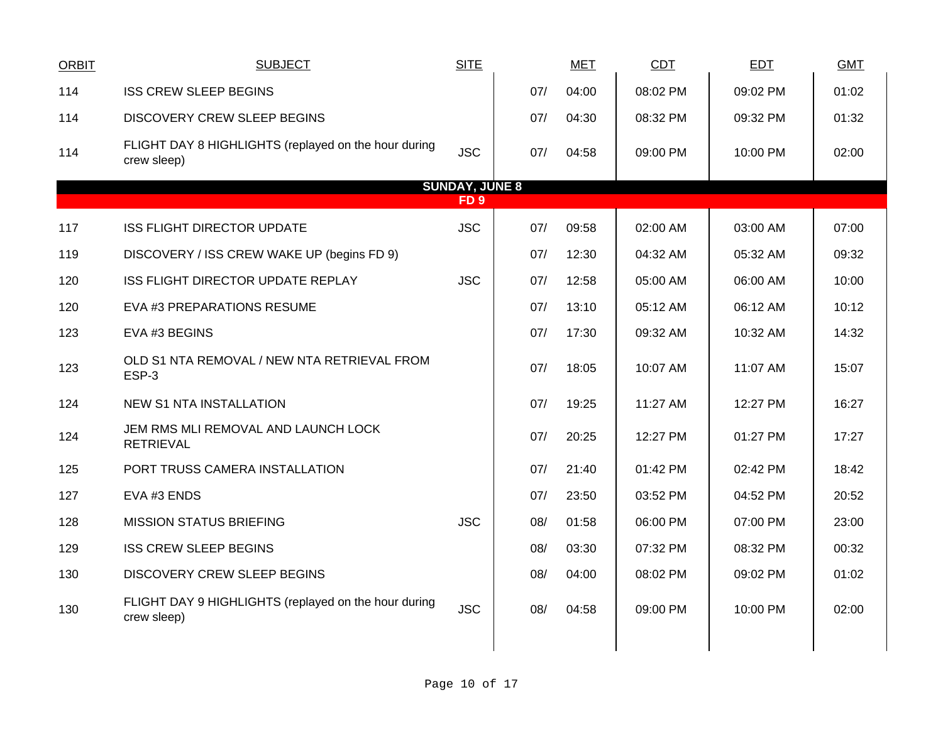| <b>ORBIT</b> | <b>SUBJECT</b>                                                      | <b>SITE</b>           |     | <b>MET</b> | <b>CDT</b> | <b>EDT</b> | <b>GMT</b> |
|--------------|---------------------------------------------------------------------|-----------------------|-----|------------|------------|------------|------------|
| 114          | <b>ISS CREW SLEEP BEGINS</b>                                        |                       | 07/ | 04:00      | 08:02 PM   | 09:02 PM   | 01:02      |
| 114          | <b>DISCOVERY CREW SLEEP BEGINS</b>                                  |                       | 07/ | 04:30      | 08:32 PM   | 09:32 PM   | 01:32      |
| 114          | FLIGHT DAY 8 HIGHLIGHTS (replayed on the hour during<br>crew sleep) | <b>JSC</b>            | 07/ | 04:58      | 09:00 PM   | 10:00 PM   | 02:00      |
|              |                                                                     | <b>SUNDAY, JUNE 8</b> |     |            |            |            |            |
|              |                                                                     | FD <sub>9</sub>       |     |            |            |            |            |
| 117          | <b>ISS FLIGHT DIRECTOR UPDATE</b>                                   | <b>JSC</b>            | 07/ | 09:58      | 02:00 AM   | 03:00 AM   | 07:00      |
| 119          | DISCOVERY / ISS CREW WAKE UP (begins FD 9)                          |                       | 07/ | 12:30      | 04:32 AM   | 05:32 AM   | 09:32      |
| 120          | ISS FLIGHT DIRECTOR UPDATE REPLAY                                   | <b>JSC</b>            | 07/ | 12:58      | 05:00 AM   | 06:00 AM   | 10:00      |
| 120          | EVA #3 PREPARATIONS RESUME                                          |                       | 07/ | 13:10      | 05:12 AM   | 06:12 AM   | 10:12      |
| 123          | EVA #3 BEGINS                                                       |                       | 07/ | 17:30      | 09:32 AM   | 10:32 AM   | 14:32      |
| 123          | OLD S1 NTA REMOVAL / NEW NTA RETRIEVAL FROM<br>ESP-3                |                       | 07/ | 18:05      | 10:07 AM   | 11:07 AM   | 15:07      |
| 124          | <b>NEW S1 NTA INSTALLATION</b>                                      |                       | 07/ | 19:25      | 11:27 AM   | 12:27 PM   | 16:27      |
| 124          | JEM RMS MLI REMOVAL AND LAUNCH LOCK<br><b>RETRIEVAL</b>             |                       | 07/ | 20:25      | 12:27 PM   | 01:27 PM   | 17:27      |
| 125          | PORT TRUSS CAMERA INSTALLATION                                      |                       | 07/ | 21:40      | 01:42 PM   | 02:42 PM   | 18:42      |
| 127          | EVA #3 ENDS                                                         |                       | 07/ | 23:50      | 03:52 PM   | 04:52 PM   | 20:52      |
| 128          | <b>MISSION STATUS BRIEFING</b>                                      | <b>JSC</b>            | 08/ | 01:58      | 06:00 PM   | 07:00 PM   | 23:00      |
| 129          | <b>ISS CREW SLEEP BEGINS</b>                                        |                       | 08/ | 03:30      | 07:32 PM   | 08:32 PM   | 00:32      |
| 130          | DISCOVERY CREW SLEEP BEGINS                                         |                       | 08/ | 04:00      | 08:02 PM   | 09:02 PM   | 01:02      |
| 130          | FLIGHT DAY 9 HIGHLIGHTS (replayed on the hour during<br>crew sleep) | <b>JSC</b>            | 08/ | 04:58      | 09:00 PM   | 10:00 PM   | 02:00      |
|              |                                                                     |                       |     |            |            |            |            |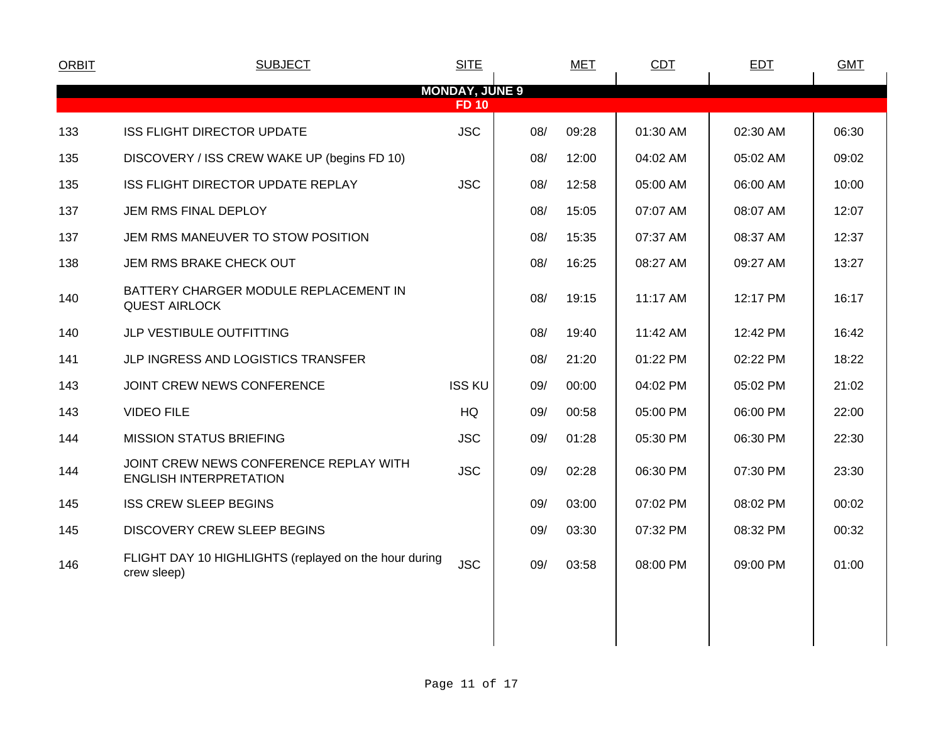| <b>ORBIT</b> | <b>SUBJECT</b>                                                          | <b>SITE</b>           |     | <b>MET</b> | <b>CDT</b> | <b>EDT</b> | <b>GMT</b> |
|--------------|-------------------------------------------------------------------------|-----------------------|-----|------------|------------|------------|------------|
|              |                                                                         | <b>MONDAY, JUNE 9</b> |     |            |            |            |            |
|              |                                                                         | <b>FD 10</b>          |     |            |            |            |            |
| 133          | ISS FLIGHT DIRECTOR UPDATE                                              | <b>JSC</b>            | 08/ | 09:28      | 01:30 AM   | 02:30 AM   | 06:30      |
| 135          | DISCOVERY / ISS CREW WAKE UP (begins FD 10)                             |                       | 08/ | 12:00      | 04:02 AM   | 05:02 AM   | 09:02      |
| 135          | ISS FLIGHT DIRECTOR UPDATE REPLAY                                       | <b>JSC</b>            | 08/ | 12:58      | 05:00 AM   | 06:00 AM   | 10:00      |
| 137          | JEM RMS FINAL DEPLOY                                                    |                       | 08/ | 15:05      | 07:07 AM   | 08:07 AM   | 12:07      |
| 137          | JEM RMS MANEUVER TO STOW POSITION                                       |                       | 08/ | 15:35      | 07:37 AM   | 08:37 AM   | 12:37      |
| 138          | JEM RMS BRAKE CHECK OUT                                                 |                       | 08/ | 16:25      | 08:27 AM   | 09:27 AM   | 13:27      |
| 140          | BATTERY CHARGER MODULE REPLACEMENT IN<br><b>QUEST AIRLOCK</b>           |                       | 08/ | 19:15      | 11:17 AM   | 12:17 PM   | 16:17      |
| 140          | JLP VESTIBULE OUTFITTING                                                |                       | 08/ | 19:40      | 11:42 AM   | 12:42 PM   | 16:42      |
| 141          | JLP INGRESS AND LOGISTICS TRANSFER                                      |                       | 08/ | 21:20      | 01:22 PM   | 02:22 PM   | 18:22      |
| 143          | JOINT CREW NEWS CONFERENCE                                              | <b>ISS KU</b>         | 09/ | 00:00      | 04:02 PM   | 05:02 PM   | 21:02      |
| 143          | <b>VIDEO FILE</b>                                                       | HQ                    | 09/ | 00:58      | 05:00 PM   | 06:00 PM   | 22:00      |
| 144          | <b>MISSION STATUS BRIEFING</b>                                          | <b>JSC</b>            | 09/ | 01:28      | 05:30 PM   | 06:30 PM   | 22:30      |
| 144          | JOINT CREW NEWS CONFERENCE REPLAY WITH<br><b>ENGLISH INTERPRETATION</b> | <b>JSC</b>            | 09/ | 02:28      | 06:30 PM   | 07:30 PM   | 23:30      |
| 145          | <b>ISS CREW SLEEP BEGINS</b>                                            |                       | 09/ | 03:00      | 07:02 PM   | 08:02 PM   | 00:02      |
| 145          | <b>DISCOVERY CREW SLEEP BEGINS</b>                                      |                       | 09/ | 03:30      | 07:32 PM   | 08:32 PM   | 00:32      |
| 146          | FLIGHT DAY 10 HIGHLIGHTS (replayed on the hour during<br>crew sleep)    | <b>JSC</b>            | 09/ | 03:58      | 08:00 PM   | 09:00 PM   | 01:00      |
|              |                                                                         |                       |     |            |            |            |            |
|              |                                                                         |                       |     |            |            |            |            |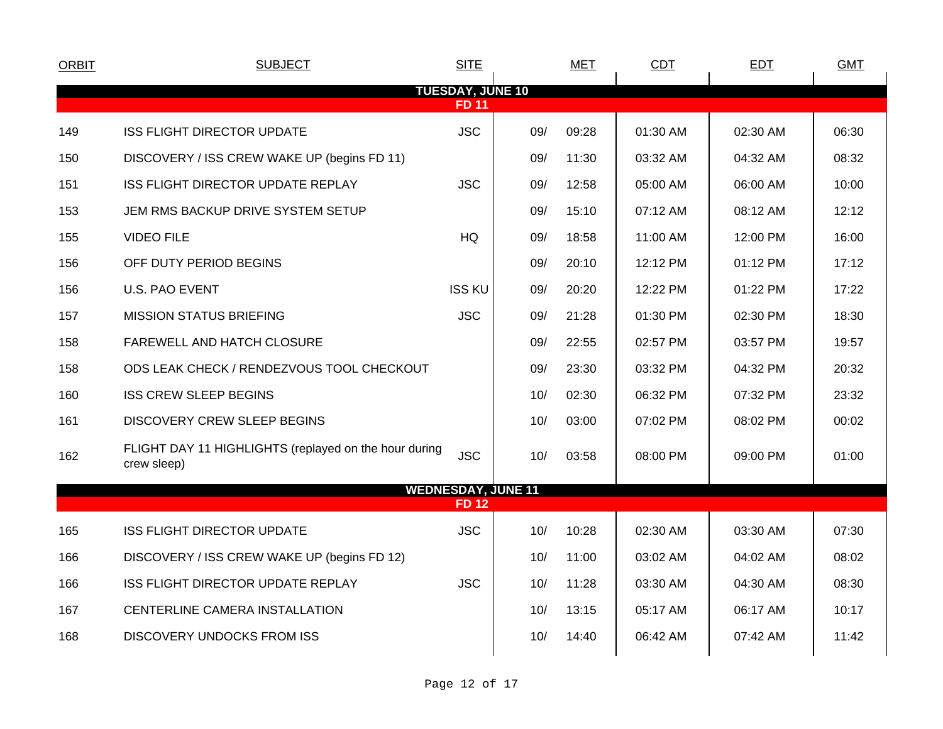| <b>ORBIT</b> | <b>SUBJECT</b>                                                       | <b>SITE</b>               |     | <b>MET</b> | <b>CDT</b> | <b>EDT</b> | <b>GMT</b> |
|--------------|----------------------------------------------------------------------|---------------------------|-----|------------|------------|------------|------------|
|              |                                                                      | <b>TUESDAY, JUNE 10</b>   |     |            |            |            |            |
|              |                                                                      | <b>FD 11</b>              |     |            |            |            |            |
| 149          | <b>ISS FLIGHT DIRECTOR UPDATE</b>                                    | <b>JSC</b>                | 09/ | 09:28      | 01:30 AM   | 02:30 AM   | 06:30      |
| 150          | DISCOVERY / ISS CREW WAKE UP (begins FD 11)                          |                           | 09/ | 11:30      | 03:32 AM   | 04:32 AM   | 08:32      |
| 151          | ISS FLIGHT DIRECTOR UPDATE REPLAY                                    | <b>JSC</b>                | 09/ | 12:58      | 05:00 AM   | 06:00 AM   | 10:00      |
| 153          | JEM RMS BACKUP DRIVE SYSTEM SETUP                                    |                           | 09/ | 15:10      | 07:12 AM   | 08:12 AM   | 12:12      |
| 155          | <b>VIDEO FILE</b>                                                    | HQ                        | 09/ | 18:58      | 11:00 AM   | 12:00 PM   | 16:00      |
| 156          | OFF DUTY PERIOD BEGINS                                               |                           | 09/ | 20:10      | 12:12 PM   | 01:12 PM   | 17:12      |
| 156          | <b>U.S. PAO EVENT</b>                                                | <b>ISS KU</b>             | 09/ | 20:20      | 12:22 PM   | 01:22 PM   | 17:22      |
| 157          | <b>MISSION STATUS BRIEFING</b>                                       | <b>JSC</b>                | 09/ | 21:28      | 01:30 PM   | 02:30 PM   | 18:30      |
| 158          | FAREWELL AND HATCH CLOSURE                                           |                           | 09/ | 22:55      | 02:57 PM   | 03:57 PM   | 19:57      |
| 158          | ODS LEAK CHECK / RENDEZVOUS TOOL CHECKOUT                            |                           | 09/ | 23:30      | 03:32 PM   | 04:32 PM   | 20:32      |
| 160          | <b>ISS CREW SLEEP BEGINS</b>                                         |                           | 10/ | 02:30      | 06:32 PM   | 07:32 PM   | 23:32      |
| 161          | <b>DISCOVERY CREW SLEEP BEGINS</b>                                   |                           | 10/ | 03:00      | 07:02 PM   | 08:02 PM   | 00:02      |
| 162          | FLIGHT DAY 11 HIGHLIGHTS (replayed on the hour during<br>crew sleep) | <b>JSC</b>                | 10/ | 03:58      | 08:00 PM   | 09:00 PM   | 01:00      |
|              |                                                                      | <b>WEDNESDAY, JUNE 11</b> |     |            |            |            |            |
|              |                                                                      | <b>FD12</b>               |     |            |            |            |            |
| 165          | <b>ISS FLIGHT DIRECTOR UPDATE</b>                                    | <b>JSC</b>                | 10/ | 10:28      | 02:30 AM   | 03:30 AM   | 07:30      |
| 166          | DISCOVERY / ISS CREW WAKE UP (begins FD 12)                          |                           | 10/ | 11:00      | 03:02 AM   | 04:02 AM   | 08:02      |
| 166          | ISS FLIGHT DIRECTOR UPDATE REPLAY                                    | <b>JSC</b>                | 10/ | 11:28      | 03:30 AM   | 04:30 AM   | 08:30      |
| 167          | CENTERLINE CAMERA INSTALLATION                                       |                           | 10/ | 13:15      | 05:17 AM   | 06:17 AM   | 10:17      |
| 168          | <b>DISCOVERY UNDOCKS FROM ISS</b>                                    |                           | 10/ | 14:40      | 06:42 AM   | 07:42 AM   | 11:42      |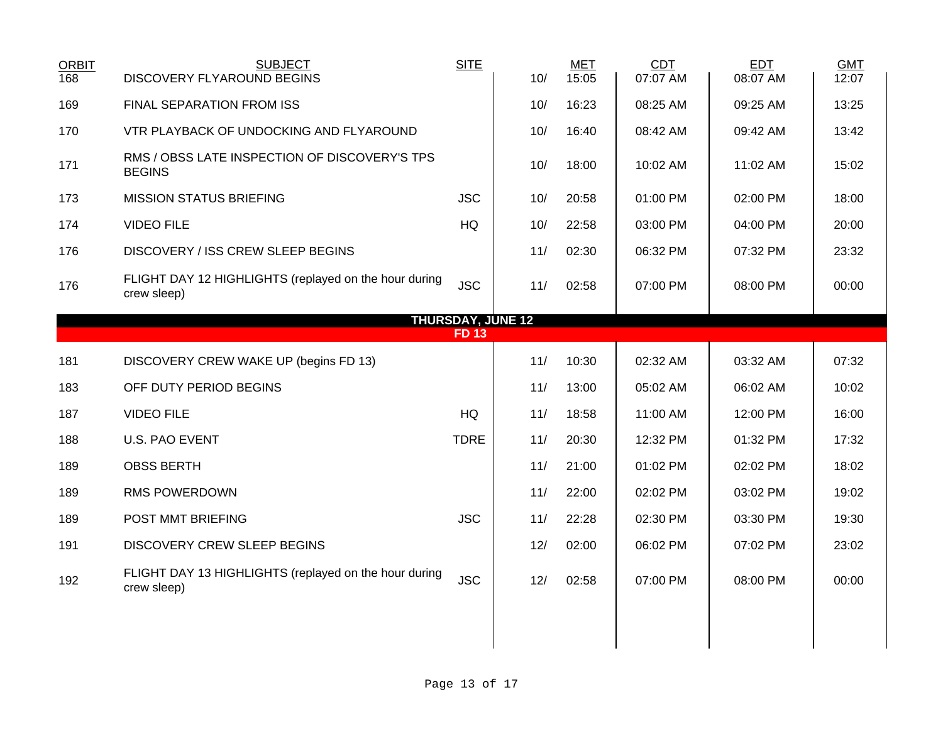| <b>ORBIT</b><br>168 | <b>SUBJECT</b><br>DISCOVERY FLYAROUND BEGINS                         | <b>SITE</b>                             | 10/ | <b>MET</b><br>15:05 | CDT<br>07:07 AM | <b>EDT</b><br>08:07 AM | <b>GMT</b><br>12:07 |
|---------------------|----------------------------------------------------------------------|-----------------------------------------|-----|---------------------|-----------------|------------------------|---------------------|
| 169                 | FINAL SEPARATION FROM ISS                                            |                                         | 10/ | 16:23               | 08:25 AM        | 09:25 AM               | 13:25               |
| 170                 | VTR PLAYBACK OF UNDOCKING AND FLYAROUND                              |                                         | 10/ | 16:40               | 08:42 AM        | 09:42 AM               | 13:42               |
| 171                 | RMS / OBSS LATE INSPECTION OF DISCOVERY'S TPS<br><b>BEGINS</b>       |                                         | 10/ | 18:00               | 10:02 AM        | 11:02 AM               | 15:02               |
| 173                 | <b>MISSION STATUS BRIEFING</b>                                       | <b>JSC</b>                              | 10/ | 20:58               | 01:00 PM        | 02:00 PM               | 18:00               |
| 174                 | <b>VIDEO FILE</b>                                                    | HQ                                      | 10/ | 22:58               | 03:00 PM        | 04:00 PM               | 20:00               |
| 176                 | DISCOVERY / ISS CREW SLEEP BEGINS                                    |                                         | 11/ | 02:30               | 06:32 PM        | 07:32 PM               | 23:32               |
| 176                 | FLIGHT DAY 12 HIGHLIGHTS (replayed on the hour during<br>crew sleep) | <b>JSC</b>                              | 11/ | 02:58               | 07:00 PM        | 08:00 PM               | 00:00               |
|                     |                                                                      | <b>THURSDAY, JUNE 12</b><br><b>FD13</b> |     |                     |                 |                        |                     |
|                     |                                                                      |                                         |     |                     |                 |                        |                     |
| 181                 | DISCOVERY CREW WAKE UP (begins FD 13)                                |                                         | 11/ | 10:30               | 02:32 AM        | 03:32 AM               | 07:32               |
| 183                 | OFF DUTY PERIOD BEGINS                                               |                                         | 11/ | 13:00               | 05:02 AM        | 06:02 AM               | 10:02               |
| 187                 | <b>VIDEO FILE</b>                                                    | <b>HQ</b>                               | 11/ | 18:58               | 11:00 AM        | 12:00 PM               | 16:00               |
| 188                 | <b>U.S. PAO EVENT</b>                                                | <b>TDRE</b>                             | 11/ | 20:30               | 12:32 PM        | 01:32 PM               | 17:32               |
| 189                 | <b>OBSS BERTH</b>                                                    |                                         | 11/ | 21:00               | 01:02 PM        | 02:02 PM               | 18:02               |
| 189                 | RMS POWERDOWN                                                        |                                         | 11/ | 22:00               | 02:02 PM        | 03:02 PM               | 19:02               |
| 189                 | POST MMT BRIEFING                                                    | <b>JSC</b>                              | 11/ | 22:28               | 02:30 PM        | 03:30 PM               | 19:30               |
| 191                 | <b>DISCOVERY CREW SLEEP BEGINS</b>                                   |                                         | 12/ | 02:00               | 06:02 PM        | 07:02 PM               | 23:02               |
| 192                 | FLIGHT DAY 13 HIGHLIGHTS (replayed on the hour during<br>crew sleep) | <b>JSC</b>                              | 12/ | 02:58               | 07:00 PM        | 08:00 PM               | 00:00               |
|                     |                                                                      |                                         |     |                     |                 |                        |                     |
|                     |                                                                      |                                         |     |                     |                 |                        |                     |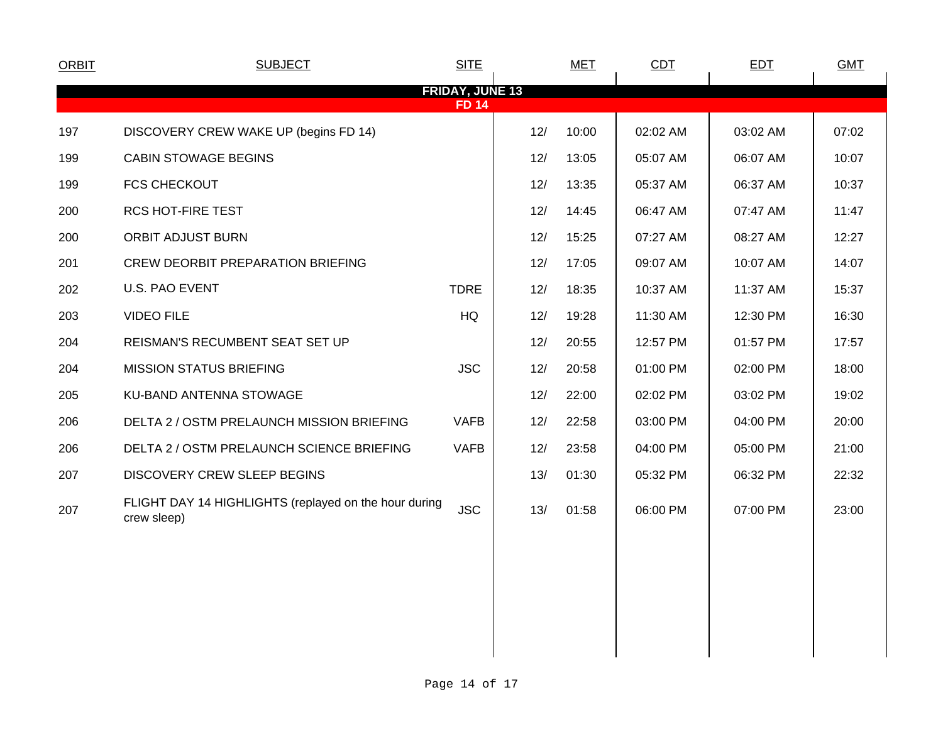| <b>ORBIT</b>                           | <b>SUBJECT</b>                                                       | <b>SITE</b> |     | <b>MET</b> | CDT      | <b>EDT</b> | <b>GMT</b> |  |
|----------------------------------------|----------------------------------------------------------------------|-------------|-----|------------|----------|------------|------------|--|
| <b>FRIDAY, JUNE 13</b><br><b>FD 14</b> |                                                                      |             |     |            |          |            |            |  |
| 197                                    | DISCOVERY CREW WAKE UP (begins FD 14)                                |             | 12/ | 10:00      | 02:02 AM | 03:02 AM   | 07:02      |  |
| 199                                    | <b>CABIN STOWAGE BEGINS</b>                                          |             | 12/ | 13:05      | 05:07 AM | 06:07 AM   | 10:07      |  |
| 199                                    | <b>FCS CHECKOUT</b>                                                  |             | 12/ | 13:35      | 05:37 AM | 06:37 AM   | 10:37      |  |
| 200                                    | <b>RCS HOT-FIRE TEST</b>                                             |             | 12/ | 14:45      | 06:47 AM | 07:47 AM   | 11:47      |  |
| 200                                    | <b>ORBIT ADJUST BURN</b>                                             |             | 12/ | 15:25      | 07:27 AM | 08:27 AM   | 12:27      |  |
| 201                                    | <b>CREW DEORBIT PREPARATION BRIEFING</b>                             |             | 12/ | 17:05      | 09:07 AM | 10:07 AM   | 14:07      |  |
| 202                                    | U.S. PAO EVENT                                                       | <b>TDRE</b> | 12/ | 18:35      | 10:37 AM | 11:37 AM   | 15:37      |  |
| 203                                    | <b>VIDEO FILE</b>                                                    | HQ          | 12/ | 19:28      | 11:30 AM | 12:30 PM   | 16:30      |  |
| 204                                    | REISMAN'S RECUMBENT SEAT SET UP                                      |             | 12/ | 20:55      | 12:57 PM | 01:57 PM   | 17:57      |  |
| 204                                    | <b>MISSION STATUS BRIEFING</b>                                       | <b>JSC</b>  | 12/ | 20:58      | 01:00 PM | 02:00 PM   | 18:00      |  |
| 205                                    | KU-BAND ANTENNA STOWAGE                                              |             | 12/ | 22:00      | 02:02 PM | 03:02 PM   | 19:02      |  |
| 206                                    | DELTA 2 / OSTM PRELAUNCH MISSION BRIEFING                            | <b>VAFB</b> | 12/ | 22:58      | 03:00 PM | 04:00 PM   | 20:00      |  |
| 206                                    | DELTA 2 / OSTM PRELAUNCH SCIENCE BRIEFING                            | <b>VAFB</b> | 12/ | 23:58      | 04:00 PM | 05:00 PM   | 21:00      |  |
| 207                                    | <b>DISCOVERY CREW SLEEP BEGINS</b>                                   |             | 13/ | 01:30      | 05:32 PM | 06:32 PM   | 22:32      |  |
| 207                                    | FLIGHT DAY 14 HIGHLIGHTS (replayed on the hour during<br>crew sleep) | <b>JSC</b>  | 13/ | 01:58      | 06:00 PM | 07:00 PM   | 23:00      |  |
|                                        |                                                                      |             |     |            |          |            |            |  |
|                                        |                                                                      |             |     |            |          |            |            |  |
|                                        |                                                                      |             |     |            |          |            |            |  |
|                                        |                                                                      |             |     |            |          |            |            |  |
|                                        |                                                                      |             |     |            |          |            |            |  |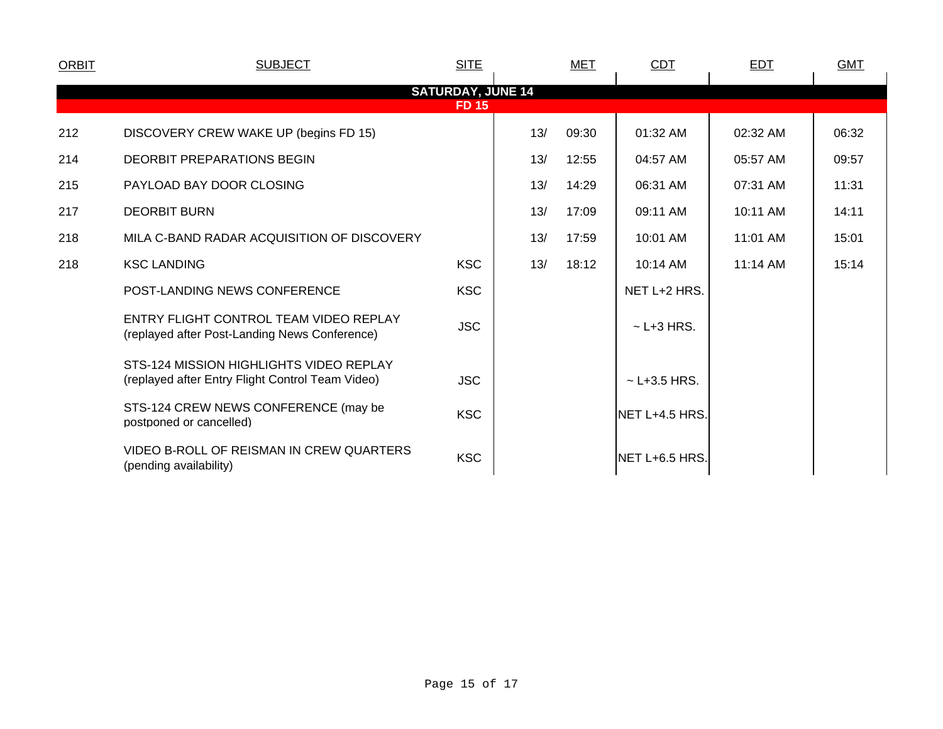| <b>ORBIT</b>                             | <b>SUBJECT</b>                                                                              | <b>SITE</b> |     | MET   | CDT               | <b>EDT</b> | <b>GMT</b> |  |
|------------------------------------------|---------------------------------------------------------------------------------------------|-------------|-----|-------|-------------------|------------|------------|--|
| <b>SATURDAY, JUNE 14</b><br><b>FD 15</b> |                                                                                             |             |     |       |                   |            |            |  |
| 212                                      | DISCOVERY CREW WAKE UP (begins FD 15)                                                       |             | 13/ | 09:30 | 01:32 AM          | 02:32 AM   | 06:32      |  |
| 214                                      | <b>DEORBIT PREPARATIONS BEGIN</b>                                                           |             | 13/ | 12:55 | 04:57 AM          | 05:57 AM   | 09:57      |  |
| 215                                      | PAYLOAD BAY DOOR CLOSING                                                                    |             | 13/ | 14:29 | 06:31 AM          | 07:31 AM   | 11:31      |  |
| 217                                      | <b>DEORBIT BURN</b>                                                                         |             | 13/ | 17:09 | 09:11 AM          | 10:11 AM   | 14:11      |  |
| 218                                      | MILA C-BAND RADAR ACQUISITION OF DISCOVERY                                                  |             | 13/ | 17:59 | 10:01 AM          | 11:01 AM   | 15:01      |  |
| 218                                      | <b>KSC LANDING</b>                                                                          | <b>KSC</b>  | 13/ | 18:12 | 10:14 AM          | 11:14 AM   | 15:14      |  |
|                                          | POST-LANDING NEWS CONFERENCE                                                                | <b>KSC</b>  |     |       | NET L+2 HRS.      |            |            |  |
|                                          | ENTRY FLIGHT CONTROL TEAM VIDEO REPLAY<br>(replayed after Post-Landing News Conference)     | <b>JSC</b>  |     |       | $\sim$ L+3 HRS.   |            |            |  |
|                                          | STS-124 MISSION HIGHLIGHTS VIDEO REPLAY<br>(replayed after Entry Flight Control Team Video) | <b>JSC</b>  |     |       | $\sim$ L+3.5 HRS. |            |            |  |
|                                          | STS-124 CREW NEWS CONFERENCE (may be<br>postponed or cancelled)                             | <b>KSC</b>  |     |       | INET L+4.5 HRS.   |            |            |  |
|                                          | VIDEO B-ROLL OF REISMAN IN CREW QUARTERS<br>(pending availability)                          | <b>KSC</b>  |     |       | NET L+6.5 HRS.    |            |            |  |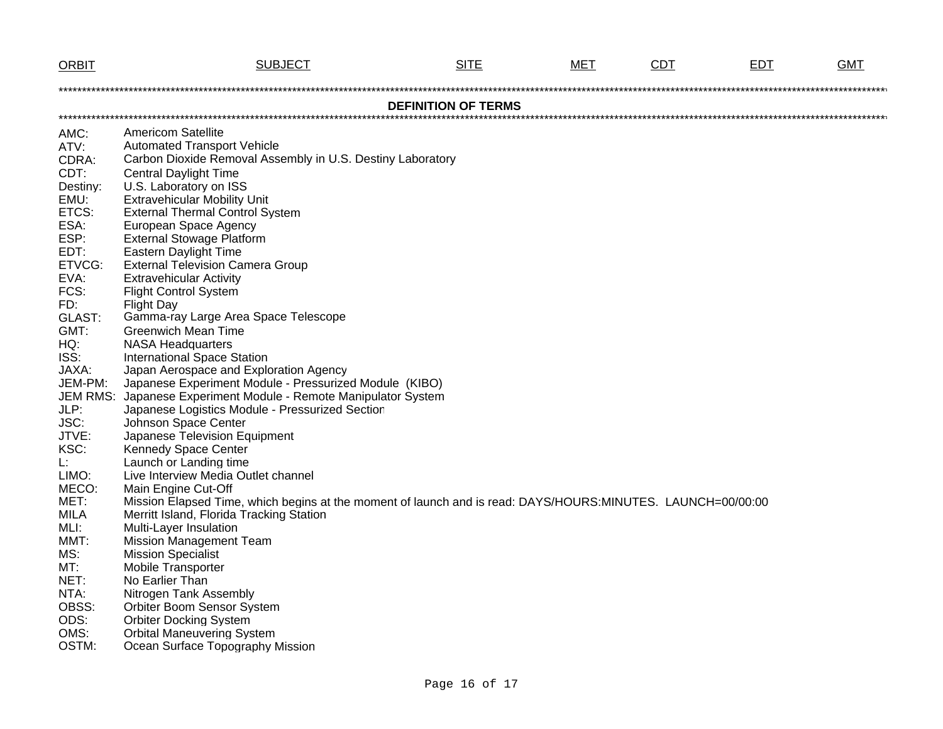| <b>ORBIT</b>    | <b>SUBJECT</b>                                                                                                                                          | <b>SITE</b>                | <b>MET</b> | <b>CDT</b> | <u>EDT</u> | <b>GMT</b> |
|-----------------|---------------------------------------------------------------------------------------------------------------------------------------------------------|----------------------------|------------|------------|------------|------------|
|                 |                                                                                                                                                         |                            |            |            |            |            |
|                 |                                                                                                                                                         | <b>DEFINITION OF TERMS</b> |            |            |            |            |
|                 |                                                                                                                                                         |                            |            |            |            |            |
| AMC:            | <b>Americom Satellite</b>                                                                                                                               |                            |            |            |            |            |
| ATV:            | <b>Automated Transport Vehicle</b>                                                                                                                      |                            |            |            |            |            |
| CDRA:           | Carbon Dioxide Removal Assembly in U.S. Destiny Laboratory                                                                                              |                            |            |            |            |            |
| CDT:            | <b>Central Daylight Time</b>                                                                                                                            |                            |            |            |            |            |
| Destiny:        | U.S. Laboratory on ISS                                                                                                                                  |                            |            |            |            |            |
| EMU:<br>ETCS:   | <b>Extravehicular Mobility Unit</b><br><b>External Thermal Control System</b>                                                                           |                            |            |            |            |            |
| ESA:            | European Space Agency                                                                                                                                   |                            |            |            |            |            |
| ESP:            | <b>External Stowage Platform</b>                                                                                                                        |                            |            |            |            |            |
| EDT:            | <b>Eastern Daylight Time</b>                                                                                                                            |                            |            |            |            |            |
| ETVCG:          | <b>External Television Camera Group</b>                                                                                                                 |                            |            |            |            |            |
| EVA:            | <b>Extravehicular Activity</b>                                                                                                                          |                            |            |            |            |            |
| FCS:            | <b>Flight Control System</b>                                                                                                                            |                            |            |            |            |            |
| FD:             | <b>Flight Day</b>                                                                                                                                       |                            |            |            |            |            |
| GLAST:          | Gamma-ray Large Area Space Telescope                                                                                                                    |                            |            |            |            |            |
| GMT:            | <b>Greenwich Mean Time</b>                                                                                                                              |                            |            |            |            |            |
| HQ:             | <b>NASA Headquarters</b>                                                                                                                                |                            |            |            |            |            |
| ISS:            | <b>International Space Station</b>                                                                                                                      |                            |            |            |            |            |
| JAXA:           | Japan Aerospace and Exploration Agency                                                                                                                  |                            |            |            |            |            |
| JEM-PM:         | Japanese Experiment Module - Pressurized Module (KIBO)                                                                                                  |                            |            |            |            |            |
| <b>JEM RMS:</b> | Japanese Experiment Module - Remote Manipulator System                                                                                                  |                            |            |            |            |            |
| JLP:            | Japanese Logistics Module - Pressurized Section                                                                                                         |                            |            |            |            |            |
| JSC:            | Johnson Space Center                                                                                                                                    |                            |            |            |            |            |
| JTVE:           | Japanese Television Equipment                                                                                                                           |                            |            |            |            |            |
| KSC:            | Kennedy Space Center                                                                                                                                    |                            |            |            |            |            |
| L.              | Launch or Landing time                                                                                                                                  |                            |            |            |            |            |
| LIMO:           | Live Interview Media Outlet channel                                                                                                                     |                            |            |            |            |            |
| MECO:<br>MET:   | Main Engine Cut-Off                                                                                                                                     |                            |            |            |            |            |
| <b>MILA</b>     | Mission Elapsed Time, which begins at the moment of launch and is read: DAYS/HOURS:MINUTES. LAUNCH=00/00:00<br>Merritt Island, Florida Tracking Station |                            |            |            |            |            |
| MLI:            | Multi-Layer Insulation                                                                                                                                  |                            |            |            |            |            |
| MMT:            | <b>Mission Management Team</b>                                                                                                                          |                            |            |            |            |            |
| MS:             | <b>Mission Specialist</b>                                                                                                                               |                            |            |            |            |            |
| MT:             | Mobile Transporter                                                                                                                                      |                            |            |            |            |            |
| NET:            | No Earlier Than                                                                                                                                         |                            |            |            |            |            |
| NTA:            | Nitrogen Tank Assembly                                                                                                                                  |                            |            |            |            |            |
| OBSS:           | Orbiter Boom Sensor System                                                                                                                              |                            |            |            |            |            |
| ODS:            | <b>Orbiter Docking System</b>                                                                                                                           |                            |            |            |            |            |
| OMS:            | <b>Orbital Maneuvering System</b>                                                                                                                       |                            |            |            |            |            |
| OSTM:           | Ocean Surface Topography Mission                                                                                                                        |                            |            |            |            |            |